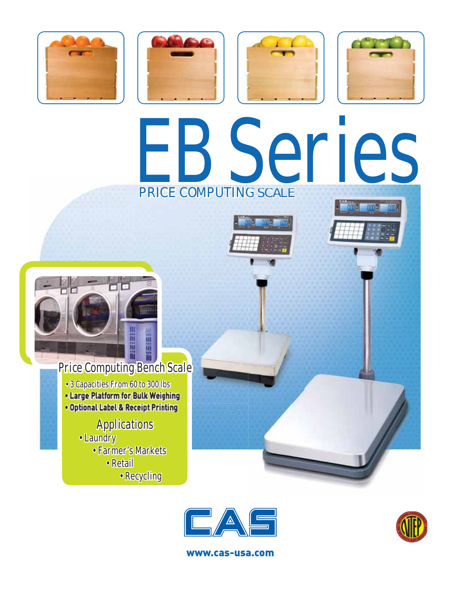







# EB Series PRICE COMPUTING SCALE





## **Price Computing Bench Scale**

- 3 Capacities From 60 to 300 lbs
- . Large Platform for Bulk Weighing
- . Optional Label & Receipt Printing

# Applications<br>• Laundry

- - Farmer's Markets
		- Retail
			- Recycling





www.cas-usa.com